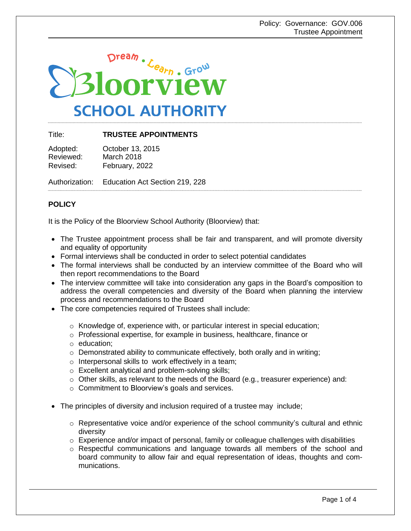

Title: **TRUSTEE APPOINTMENTS**

Adopted: October 13, 2015 Reviewed: March 2018 Revised: February, 2022

Authorization: Education Act Section 219, 228

# **POLICY**

It is the Policy of the Bloorview School Authority (Bloorview) that:

- The Trustee appointment process shall be fair and transparent, and will promote diversity and equality of opportunity
- Formal interviews shall be conducted in order to select potential candidates
- The formal interviews shall be conducted by an interview committee of the Board who will then report recommendations to the Board
- The interview committee will take into consideration any gaps in the Board's composition to address the overall competencies and diversity of the Board when planning the interview process and recommendations to the Board
- The core competencies required of Trustees shall include:
	- $\circ$  Knowledge of, experience with, or particular interest in special education;
	- o Professional expertise, for example in business, healthcare, finance or
	- o education;
	- $\circ$  Demonstrated ability to communicate effectively, both orally and in writing;
	- o Interpersonal skills to work effectively in a team;
	- o Excellent analytical and problem-solving skills;
	- $\circ$  Other skills, as relevant to the needs of the Board (e.g., treasurer experience) and:
	- o Commitment to Bloorview's goals and services.
- The principles of diversity and inclusion required of a trustee may include;
	- $\circ$  Representative voice and/or experience of the school community's cultural and ethnic diversity
	- $\circ$  Experience and/or impact of personal, family or colleague challenges with disabilities
	- $\circ$  Respectful communications and language towards all members of the school and board community to allow fair and equal representation of ideas, thoughts and communications.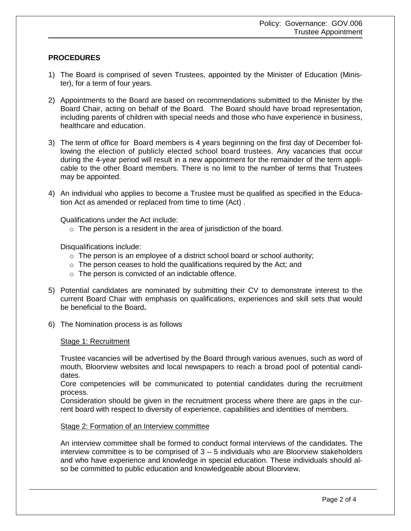## **PROCEDURES**

- 1) The Board is comprised of seven Trustees, appointed by the Minister of Education (Minister), for a term of four years.
- 2) Appointments to the Board are based on recommendations submitted to the Minister by the Board Chair, acting on behalf of the Board. The Board should have broad representation, including parents of children with special needs and those who have experience in business, healthcare and education.
- 3) The term of office for Board members is 4 years beginning on the first day of December following the election of publicly elected school board trustees. Any vacancies that occur during the 4-year period will result in a new appointment for the remainder of the term applicable to the other Board members. There is no limit to the number of terms that Trustees may be appointed.
- 4) An individual who applies to become a Trustee must be qualified as specified in the Education Act as amended or replaced from time to time (Act) .

Qualifications under the Act include:

 $\circ$  The person is a resident in the area of jurisdiction of the board.

Disqualifications include:

- $\circ$  The person is an employee of a district school board or school authority;
- $\circ$  The person ceases to hold the qualifications required by the Act; and
- o The person is convicted of an indictable offence.
- 5) Potential candidates are nominated by submitting their CV to demonstrate interest to the current Board Chair with emphasis on qualifications, experiences and skill sets that would be beneficial to the Board**.**
- 6) The Nomination process is as follows

## Stage 1: Recruitment

Trustee vacancies will be advertised by the Board through various avenues, such as word of mouth, Bloorview websites and local newspapers to reach a broad pool of potential candidates.

Core competencies will be communicated to potential candidates during the recruitment process.

Consideration should be given in the recruitment process where there are gaps in the current board with respect to diversity of experience, capabilities and identities of members.

## Stage 2: Formation of an Interview committee

An interview committee shall be formed to conduct formal interviews of the candidates. The interview committee is to be comprised of 3 – 5 individuals who are Bloorview stakeholders and who have experience and knowledge in special education. These individuals should also be committed to public education and knowledgeable about Bloorview.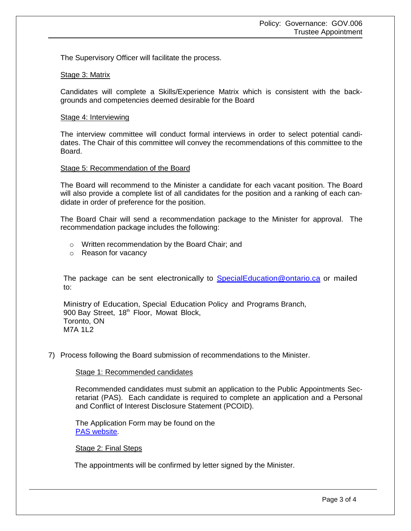The Supervisory Officer will facilitate the process.

## Stage 3: Matrix

Candidates will complete a Skills/Experience Matrix which is consistent with the backgrounds and competencies deemed desirable for the Board

## Stage 4: Interviewing

The interview committee will conduct formal interviews in order to select potential candidates. The Chair of this committee will convey the recommendations of this committee to the Board.

## Stage 5: Recommendation of the Board

The Board will recommend to the Minister a candidate for each vacant position. The Board will also provide a complete list of all candidates for the position and a ranking of each candidate in order of preference for the position.

The Board Chair will send a recommendation package to the Minister for approval. The recommendation package includes the following:

- o Written recommendation by the Board Chair; and
- o Reason for vacancy

The package can be sent electronically to **[SpecialEducation@ontario.ca](mailto:SpecialEducation@ontario.ca)** or mailed to:

Ministry of Education, Special Education Policy and Programs Branch, 900 Bay Street, 18<sup>th</sup> Floor, Mowat Block, Toronto, ON M7A 1L2

7) Process following the Board submission of recommendations to the Minister.

## Stage 1: Recommended candidates

Recommended candidates must submit an application to the Public Appointments Secretariat (PAS). Each candidate is required to complete an application and a Personal and Conflict of Interest Disclosure Statement (PCOID).

The Application Form may be found on the [PAS website.](http://www.pas.gov.on.ca/scripts/en/appl_how.asp)

Stage 2: Final Steps

The appointments will be confirmed by letter signed by the Minister.